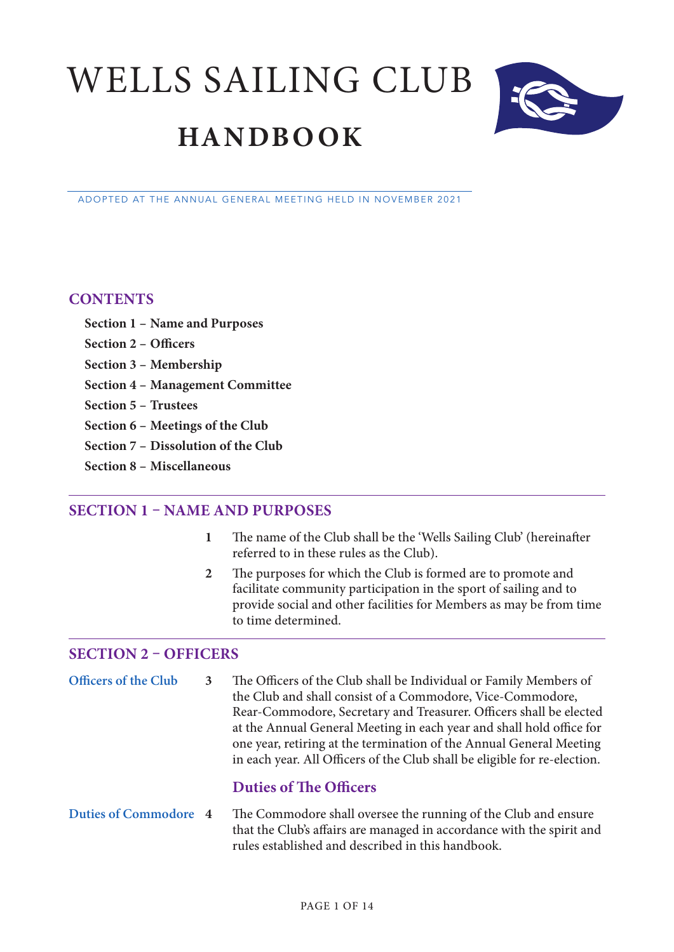WELLS SAILING CLUB **HANDBOOK**



#### ADOPTED AT THE ANNUAL GENERAL MEETING HELD IN NOVEMBER 2021

#### **CONTENTS**

- **Section 1 Name and Purposes**
- **Section 2 Officers**
- **Section 3 Membership**
- **Section 4 Management Committee**
- **Section 5 Trustees**
- **Section 6 Meetings of the Club**
- **Section 7 Dissolution of the Club**
- **Section 8 Miscellaneous**

## **SECTION 1 – NAME AND PURPOSES**

- **1** The name of the Club shall be the 'Wells Sailing Club' (hereinafter referred to in these rules as the Club).
- **2** The purposes for which the Club is formed are to promote and facilitate community participation in the sport of sailing and to provide social and other facilities for Members as may be from time to time determined.

## **SECTION 2 – OFFICERS**

**Officers of the Club 3** The Officers of the Club shall be Individual or Family Members of the Club and shall consist of a Commodore, Vice-Commodore, Rear-Commodore, Secretary and Treasurer. Officers shall be elected at the Annual General Meeting in each year and shall hold office for one year, retiring at the termination of the Annual General Meeting in each year. All Officers of the Club shall be eligible for re-election.

## **Duties of The Officers**

**Duties of Commodore 4** The Commodore shall oversee the running of the Club and ensure that the Club's affairs are managed in accordance with the spirit and rules established and described in this handbook.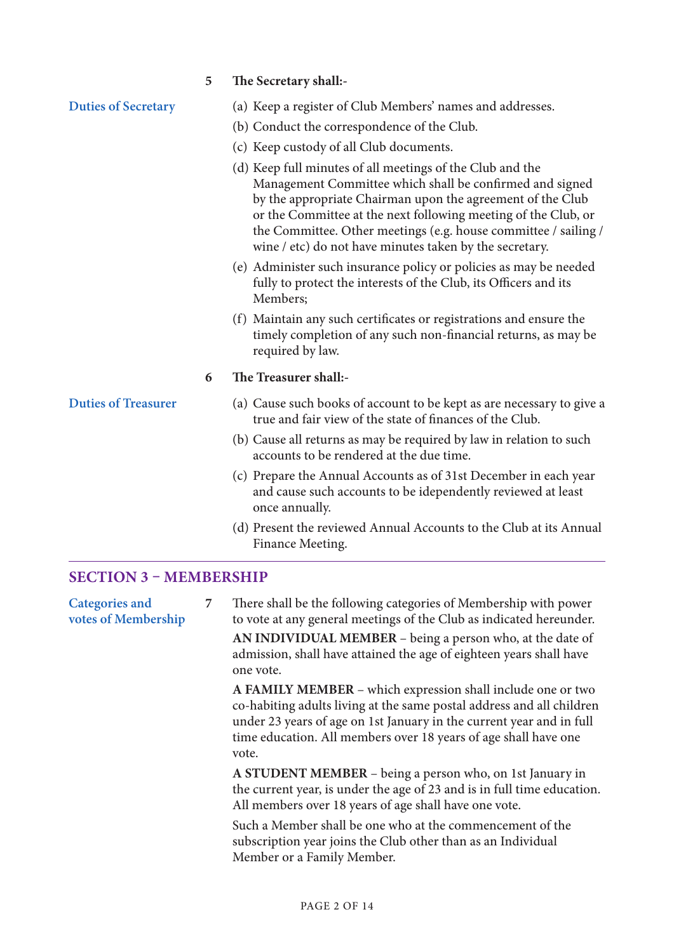|                                              | 5 | The Secretary shall:-                                                                                                                                                                                                                                                                                                                                                               |
|----------------------------------------------|---|-------------------------------------------------------------------------------------------------------------------------------------------------------------------------------------------------------------------------------------------------------------------------------------------------------------------------------------------------------------------------------------|
| <b>Duties of Secretary</b>                   |   | (a) Keep a register of Club Members' names and addresses.<br>(b) Conduct the correspondence of the Club.                                                                                                                                                                                                                                                                            |
|                                              |   | (c) Keep custody of all Club documents.                                                                                                                                                                                                                                                                                                                                             |
|                                              |   | (d) Keep full minutes of all meetings of the Club and the<br>Management Committee which shall be confirmed and signed<br>by the appropriate Chairman upon the agreement of the Club<br>or the Committee at the next following meeting of the Club, or<br>the Committee. Other meetings (e.g. house committee / sailing /<br>wine / etc) do not have minutes taken by the secretary. |
|                                              |   | (e) Administer such insurance policy or policies as may be needed<br>fully to protect the interests of the Club, its Officers and its<br>Members;                                                                                                                                                                                                                                   |
|                                              |   | (f) Maintain any such certificates or registrations and ensure the<br>timely completion of any such non-financial returns, as may be<br>required by law.                                                                                                                                                                                                                            |
|                                              | 6 | The Treasurer shall:-                                                                                                                                                                                                                                                                                                                                                               |
| <b>Duties of Treasurer</b>                   |   | (a) Cause such books of account to be kept as are necessary to give a<br>true and fair view of the state of finances of the Club.                                                                                                                                                                                                                                                   |
|                                              |   | (b) Cause all returns as may be required by law in relation to such<br>accounts to be rendered at the due time.                                                                                                                                                                                                                                                                     |
|                                              |   | (c) Prepare the Annual Accounts as of 31st December in each year<br>and cause such accounts to be idependently reviewed at least<br>once annually.                                                                                                                                                                                                                                  |
|                                              |   | (d) Present the reviewed Annual Accounts to the Club at its Annual<br>Finance Meeting.                                                                                                                                                                                                                                                                                              |
| <b>SECTION 3 - MEMBERSHIP</b>                |   |                                                                                                                                                                                                                                                                                                                                                                                     |
| <b>Categories and</b><br>votes of Membership | 7 | There shall be the following categories of Membership with power<br>to vote at any general meetings of the Club as indicated hereunder.                                                                                                                                                                                                                                             |
|                                              |   | AN INDIVIDUAL MEMBER – being a person who, at the date of<br>admission, shall have attained the age of eighteen years shall have<br>one vote.                                                                                                                                                                                                                                       |
|                                              |   | A FAMILY MEMBER - which expression shall include one or two<br>co-habiting adults living at the same postal address and all children                                                                                                                                                                                                                                                |

#### PAGE 2 OF 14

Member or a Family Member.

vote.

under 23 years of age on 1st January in the current year and in full time education. All members over 18 years of age shall have one

**A STUDENT MEMBER** – being a person who, on 1st January in the current year, is under the age of 23 and is in full time education.

Such a Member shall be one who at the commencement of the subscription year joins the Club other than as an Individual

All members over 18 years of age shall have one vote.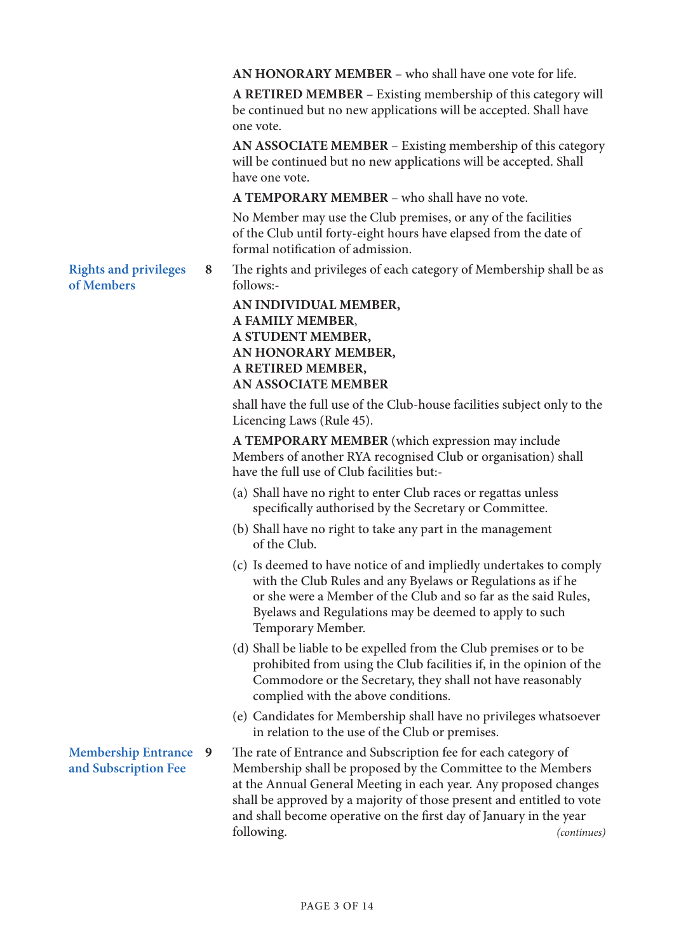**AN HONORARY MEMBER** – who shall have one vote for life.

**A RETIRED MEMBER** – Existing membership of this category will be continued but no new applications will be accepted. Shall have one vote.

**AN ASSOCIATE MEMBER** – Existing membership of this category will be continued but no new applications will be accepted. Shall have one vote.

**A TEMPORARY MEMBER** – who shall have no vote.

No Member may use the Club premises, or any of the facilities of the Club until forty-eight hours have elapsed from the date of formal notification of admission.

**Rights and privileges of Members** follows:-

**8** The rights and privileges of each category of Membership shall be as

**AN INDIVIDUAL MEMBER, A FAMILY MEMBER**, **A STUDENT MEMBER, AN HONORARY MEMBER, A RETIRED MEMBER, AN ASSOCIATE MEMBER** 

shall have the full use of the Club-house facilities subject only to the Licencing Laws (Rule 45).

**A TEMPORARY MEMBER** (which expression may include Members of another RYA recognised Club or organisation) shall have the full use of Club facilities but:-

- (a) Shall have no right to enter Club races or regattas unless specifically authorised by the Secretary or Committee.
- (b) Shall have no right to take any part in the management of the Club.
- (c) Is deemed to have notice of and impliedly undertakes to comply with the Club Rules and any Byelaws or Regulations as if he or she were a Member of the Club and so far as the said Rules, Byelaws and Regulations may be deemed to apply to such Temporary Member.
- (d) Shall be liable to be expelled from the Club premises or to be prohibited from using the Club facilities if, in the opinion of the Commodore or the Secretary, they shall not have reasonably complied with the above conditions.
- (e) Candidates for Membership shall have no privileges whatsoever in relation to the use of the Club or premises.

The rate of Entrance and Subscription fee for each category of Membership shall be proposed by the Committee to the Members at the Annual General Meeting in each year. Any proposed changes shall be approved by a majority of those present and entitled to vote and shall become operative on the first day of January in the year following. *(continues)*

### **Membership Entrance and Subscription Fee**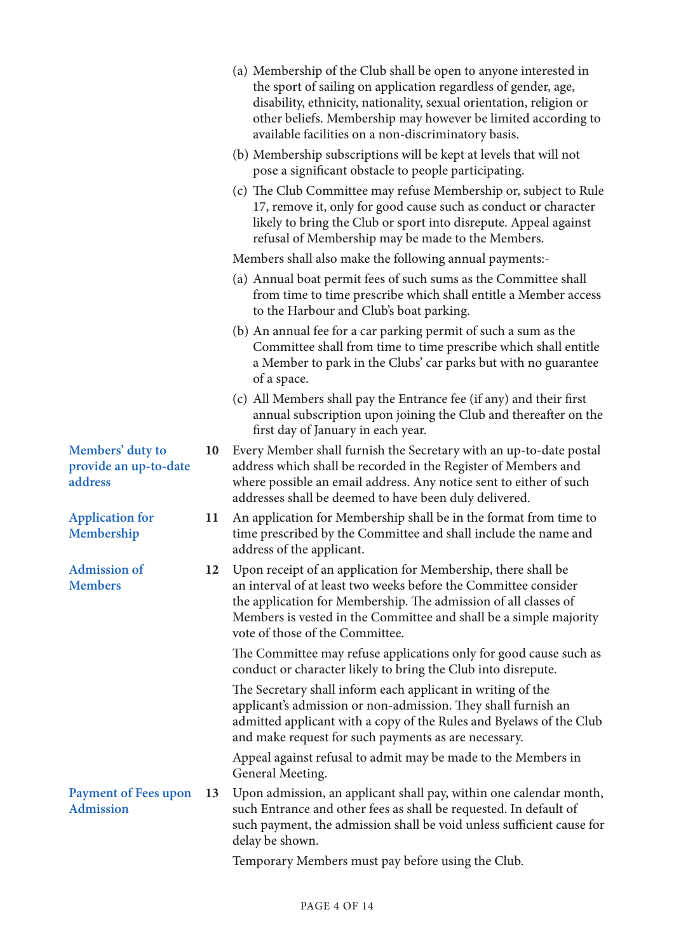|                                                      |    | (a) Membership of the Club shall be open to anyone interested in<br>the sport of sailing on application regardless of gender, age,<br>disability, ethnicity, nationality, sexual orientation, religion or<br>other beliefs. Membership may however be limited according to<br>available facilities on a non-discriminatory basis. |
|------------------------------------------------------|----|-----------------------------------------------------------------------------------------------------------------------------------------------------------------------------------------------------------------------------------------------------------------------------------------------------------------------------------|
|                                                      |    | (b) Membership subscriptions will be kept at levels that will not<br>pose a significant obstacle to people participating.                                                                                                                                                                                                         |
|                                                      |    | (c) The Club Committee may refuse Membership or, subject to Rule<br>17, remove it, only for good cause such as conduct or character<br>likely to bring the Club or sport into disrepute. Appeal against<br>refusal of Membership may be made to the Members.                                                                      |
|                                                      |    | Members shall also make the following annual payments:-                                                                                                                                                                                                                                                                           |
|                                                      |    | (a) Annual boat permit fees of such sums as the Committee shall<br>from time to time prescribe which shall entitle a Member access<br>to the Harbour and Club's boat parking.                                                                                                                                                     |
|                                                      |    | (b) An annual fee for a car parking permit of such a sum as the<br>Committee shall from time to time prescribe which shall entitle<br>a Member to park in the Clubs' car parks but with no guarantee<br>of a space.                                                                                                               |
|                                                      |    | (c) All Members shall pay the Entrance fee (if any) and their first<br>annual subscription upon joining the Club and thereafter on the<br>first day of January in each year.                                                                                                                                                      |
| Members' duty to<br>provide an up-to-date<br>address | 10 | Every Member shall furnish the Secretary with an up-to-date postal<br>address which shall be recorded in the Register of Members and<br>where possible an email address. Any notice sent to either of such<br>addresses shall be deemed to have been duly delivered.                                                              |
| <b>Application for</b><br>Membership                 | 11 | An application for Membership shall be in the format from time to<br>time prescribed by the Committee and shall include the name and<br>address of the applicant.                                                                                                                                                                 |
| <b>Admission of</b><br><b>Members</b>                |    | 12 Upon receipt of an application for Membership, there shall be<br>an interval of at least two weeks before the Committee consider<br>the application for Membership. The admission of all classes of<br>Members is vested in the Committee and shall be a simple majority<br>vote of those of the Committee.                    |
|                                                      |    | The Committee may refuse applications only for good cause such as<br>conduct or character likely to bring the Club into disrepute.                                                                                                                                                                                                |
|                                                      |    | The Secretary shall inform each applicant in writing of the<br>applicant's admission or non-admission. They shall furnish an<br>admitted applicant with a copy of the Rules and Byelaws of the Club<br>and make request for such payments as are necessary.                                                                       |
|                                                      |    | Appeal against refusal to admit may be made to the Members in<br>General Meeting.                                                                                                                                                                                                                                                 |
| <b>Payment of Fees upon</b><br><b>Admission</b>      | 13 | Upon admission, an applicant shall pay, within one calendar month,<br>such Entrance and other fees as shall be requested. In default of<br>such payment, the admission shall be void unless sufficient cause for<br>delay be shown.                                                                                               |
|                                                      |    | Temporary Members must pay before using the Club.                                                                                                                                                                                                                                                                                 |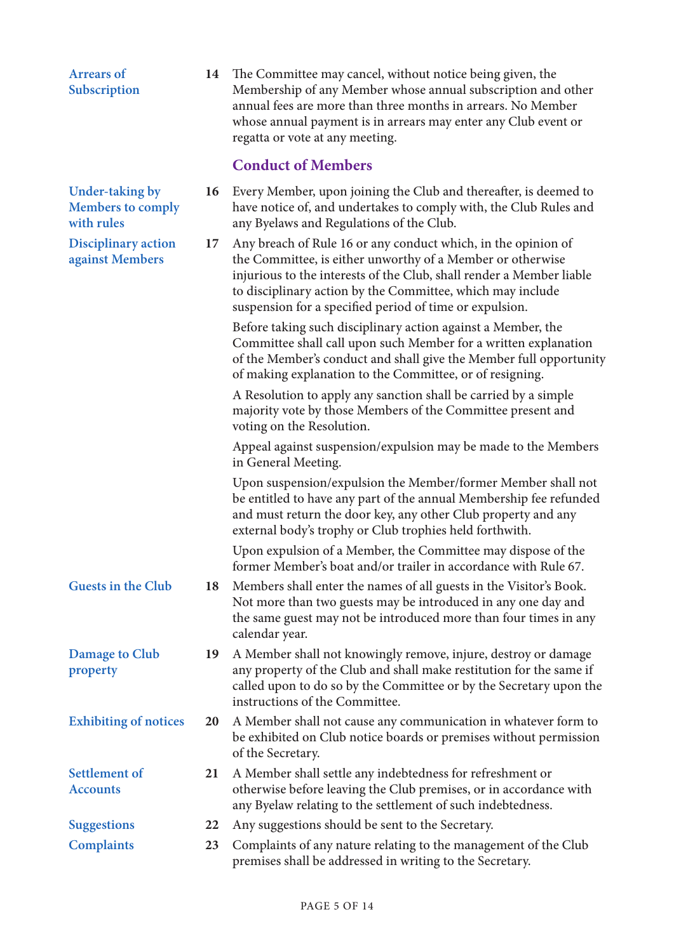| <b>Arrears of</b><br>Subscription                         | 14 | The Committee may cancel, without notice being given, the<br>Membership of any Member whose annual subscription and other<br>annual fees are more than three months in arrears. No Member<br>whose annual payment is in arrears may enter any Club event or<br>regatta or vote at any meeting.                               |
|-----------------------------------------------------------|----|------------------------------------------------------------------------------------------------------------------------------------------------------------------------------------------------------------------------------------------------------------------------------------------------------------------------------|
|                                                           |    | <b>Conduct of Members</b>                                                                                                                                                                                                                                                                                                    |
| Under-taking by<br><b>Members to comply</b><br>with rules | 16 | Every Member, upon joining the Club and thereafter, is deemed to<br>have notice of, and undertakes to comply with, the Club Rules and<br>any Byelaws and Regulations of the Club.                                                                                                                                            |
| <b>Disciplinary action</b><br>against Members             | 17 | Any breach of Rule 16 or any conduct which, in the opinion of<br>the Committee, is either unworthy of a Member or otherwise<br>injurious to the interests of the Club, shall render a Member liable<br>to disciplinary action by the Committee, which may include<br>suspension for a specified period of time or expulsion. |
|                                                           |    | Before taking such disciplinary action against a Member, the<br>Committee shall call upon such Member for a written explanation<br>of the Member's conduct and shall give the Member full opportunity<br>of making explanation to the Committee, or of resigning.                                                            |
|                                                           |    | A Resolution to apply any sanction shall be carried by a simple<br>majority vote by those Members of the Committee present and<br>voting on the Resolution.                                                                                                                                                                  |
|                                                           |    | Appeal against suspension/expulsion may be made to the Members<br>in General Meeting.                                                                                                                                                                                                                                        |
|                                                           |    | Upon suspension/expulsion the Member/former Member shall not<br>be entitled to have any part of the annual Membership fee refunded<br>and must return the door key, any other Club property and any<br>external body's trophy or Club trophies held forthwith.                                                               |
|                                                           |    | Upon expulsion of a Member, the Committee may dispose of the<br>former Member's boat and/or trailer in accordance with Rule 67.                                                                                                                                                                                              |
| <b>Guests in the Club</b>                                 | 18 | Members shall enter the names of all guests in the Visitor's Book.<br>Not more than two guests may be introduced in any one day and<br>the same guest may not be introduced more than four times in any<br>calendar year.                                                                                                    |
| Damage to Club<br>property                                | 19 | A Member shall not knowingly remove, injure, destroy or damage<br>any property of the Club and shall make restitution for the same if<br>called upon to do so by the Committee or by the Secretary upon the<br>instructions of the Committee.                                                                                |
| <b>Exhibiting of notices</b>                              | 20 | A Member shall not cause any communication in whatever form to<br>be exhibited on Club notice boards or premises without permission<br>of the Secretary.                                                                                                                                                                     |
| <b>Settlement of</b><br><b>Accounts</b>                   | 21 | A Member shall settle any indebtedness for refreshment or<br>otherwise before leaving the Club premises, or in accordance with<br>any Byelaw relating to the settlement of such indebtedness.                                                                                                                                |
| <b>Suggestions</b>                                        | 22 | Any suggestions should be sent to the Secretary.                                                                                                                                                                                                                                                                             |
| <b>Complaints</b>                                         | 23 | Complaints of any nature relating to the management of the Club<br>premises shall be addressed in writing to the Secretary.                                                                                                                                                                                                  |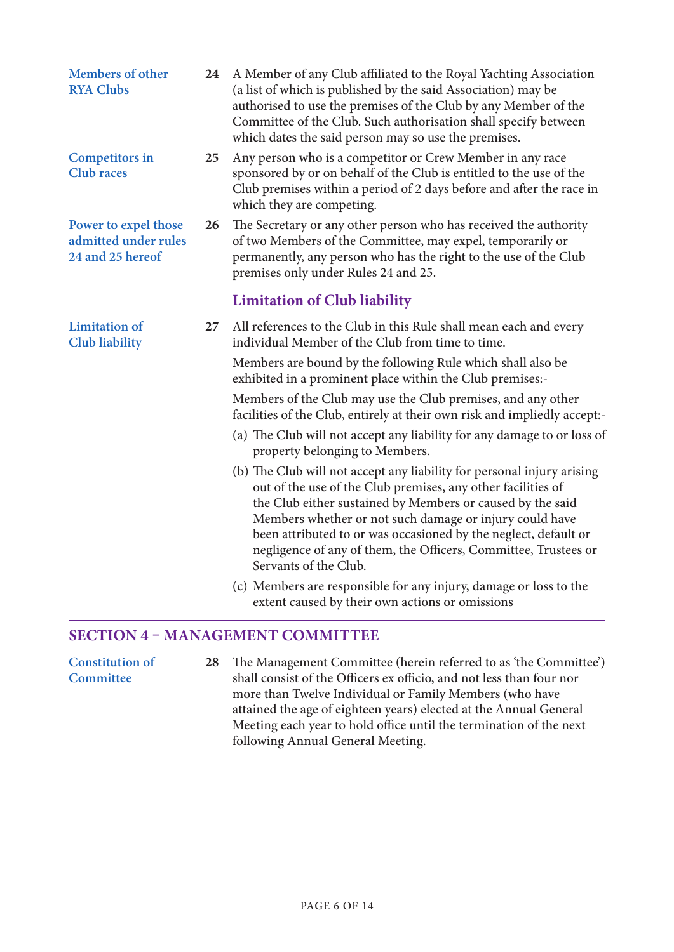| Members of other<br><b>RYA Clubs</b>                             | 24 | A Member of any Club affiliated to the Royal Yachting Association<br>(a list of which is published by the said Association) may be<br>authorised to use the premises of the Club by any Member of the<br>Committee of the Club. Such authorisation shall specify between<br>which dates the said person may so use the premises.                                                                                               |
|------------------------------------------------------------------|----|--------------------------------------------------------------------------------------------------------------------------------------------------------------------------------------------------------------------------------------------------------------------------------------------------------------------------------------------------------------------------------------------------------------------------------|
| <b>Competitors in</b><br><b>Club</b> races                       | 25 | Any person who is a competitor or Crew Member in any race<br>sponsored by or on behalf of the Club is entitled to the use of the<br>Club premises within a period of 2 days before and after the race in<br>which they are competing.                                                                                                                                                                                          |
| Power to expel those<br>admitted under rules<br>24 and 25 hereof | 26 | The Secretary or any other person who has received the authority<br>of two Members of the Committee, may expel, temporarily or<br>permanently, any person who has the right to the use of the Club<br>premises only under Rules 24 and 25.                                                                                                                                                                                     |
|                                                                  |    | <b>Limitation of Club liability</b>                                                                                                                                                                                                                                                                                                                                                                                            |
| <b>Limitation</b> of<br><b>Club</b> liability                    | 27 | All references to the Club in this Rule shall mean each and every<br>individual Member of the Club from time to time.                                                                                                                                                                                                                                                                                                          |
|                                                                  |    | Members are bound by the following Rule which shall also be<br>exhibited in a prominent place within the Club premises:-                                                                                                                                                                                                                                                                                                       |
|                                                                  |    | Members of the Club may use the Club premises, and any other<br>facilities of the Club, entirely at their own risk and impliedly accept:-                                                                                                                                                                                                                                                                                      |
|                                                                  |    | (a) The Club will not accept any liability for any damage to or loss of<br>property belonging to Members.                                                                                                                                                                                                                                                                                                                      |
|                                                                  |    | (b) The Club will not accept any liability for personal injury arising<br>out of the use of the Club premises, any other facilities of<br>the Club either sustained by Members or caused by the said<br>Members whether or not such damage or injury could have<br>been attributed to or was occasioned by the neglect, default or<br>negligence of any of them, the Officers, Committee, Trustees or<br>Servants of the Club. |
|                                                                  |    | (c) Members are responsible for any injury, damage or loss to the<br>extent caused by their own actions or omissions                                                                                                                                                                                                                                                                                                           |

## **SECTION 4 – MANAGEMENT COMMITTEE**

**Constitution of Committee 28** The Management Committee (herein referred to as 'the Committee') shall consist of the Officers ex officio, and not less than four nor more than Twelve Individual or Family Members (who have attained the age of eighteen years) elected at the Annual General Meeting each year to hold office until the termination of the next following Annual General Meeting.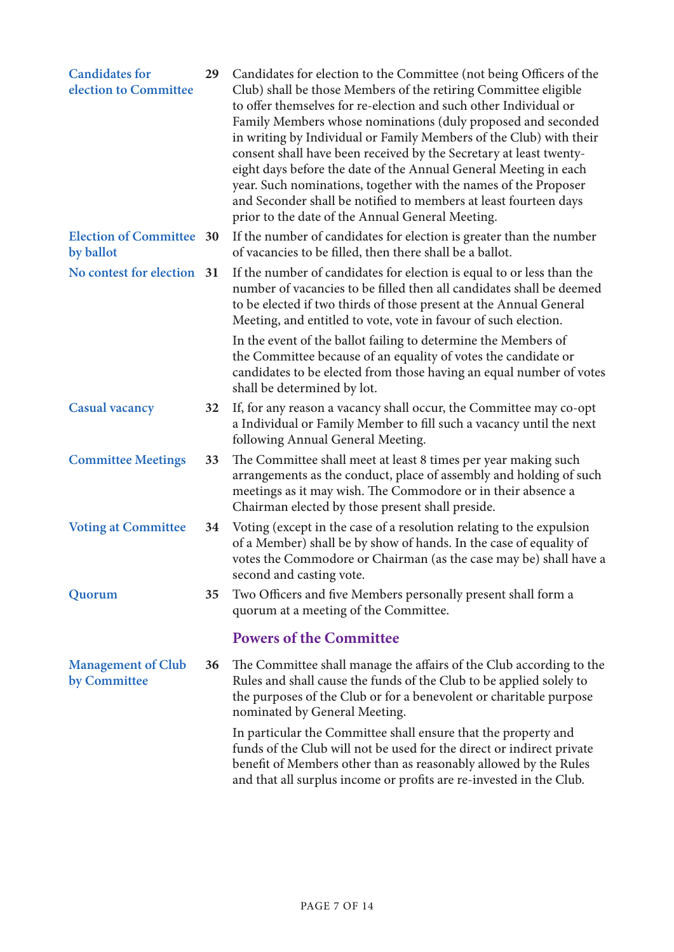| <b>Candidates for</b><br>election to Committee | 29 | Candidates for election to the Committee (not being Officers of the<br>Club) shall be those Members of the retiring Committee eligible<br>to offer themselves for re-election and such other Individual or<br>Family Members whose nominations (duly proposed and seconded<br>in writing by Individual or Family Members of the Club) with their<br>consent shall have been received by the Secretary at least twenty-<br>eight days before the date of the Annual General Meeting in each<br>year. Such nominations, together with the names of the Proposer<br>and Seconder shall be notified to members at least fourteen days<br>prior to the date of the Annual General Meeting. |
|------------------------------------------------|----|---------------------------------------------------------------------------------------------------------------------------------------------------------------------------------------------------------------------------------------------------------------------------------------------------------------------------------------------------------------------------------------------------------------------------------------------------------------------------------------------------------------------------------------------------------------------------------------------------------------------------------------------------------------------------------------|
| <b>Election of Committee 30</b><br>by ballot   |    | If the number of candidates for election is greater than the number<br>of vacancies to be filled, then there shall be a ballot.                                                                                                                                                                                                                                                                                                                                                                                                                                                                                                                                                       |
| No contest for election 31                     |    | If the number of candidates for election is equal to or less than the<br>number of vacancies to be filled then all candidates shall be deemed<br>to be elected if two thirds of those present at the Annual General<br>Meeting, and entitled to vote, vote in favour of such election.                                                                                                                                                                                                                                                                                                                                                                                                |
|                                                |    | In the event of the ballot failing to determine the Members of<br>the Committee because of an equality of votes the candidate or<br>candidates to be elected from those having an equal number of votes<br>shall be determined by lot.                                                                                                                                                                                                                                                                                                                                                                                                                                                |
| <b>Casual vacancy</b>                          | 32 | If, for any reason a vacancy shall occur, the Committee may co-opt<br>a Individual or Family Member to fill such a vacancy until the next<br>following Annual General Meeting.                                                                                                                                                                                                                                                                                                                                                                                                                                                                                                        |
| <b>Committee Meetings</b>                      | 33 | The Committee shall meet at least 8 times per year making such<br>arrangements as the conduct, place of assembly and holding of such<br>meetings as it may wish. The Commodore or in their absence a<br>Chairman elected by those present shall preside.                                                                                                                                                                                                                                                                                                                                                                                                                              |
| <b>Voting at Committee</b>                     | 34 | Voting (except in the case of a resolution relating to the expulsion<br>of a Member) shall be by show of hands. In the case of equality of<br>votes the Commodore or Chairman (as the case may be) shall have a<br>second and casting vote.                                                                                                                                                                                                                                                                                                                                                                                                                                           |
| Quorum                                         | 35 | Two Officers and five Members personally present shall form a<br>quorum at a meeting of the Committee.                                                                                                                                                                                                                                                                                                                                                                                                                                                                                                                                                                                |
|                                                |    | <b>Powers of the Committee</b>                                                                                                                                                                                                                                                                                                                                                                                                                                                                                                                                                                                                                                                        |
| <b>Management of Club</b><br>by Committee      | 36 | The Committee shall manage the affairs of the Club according to the<br>Rules and shall cause the funds of the Club to be applied solely to<br>the purposes of the Club or for a benevolent or charitable purpose<br>nominated by General Meeting.                                                                                                                                                                                                                                                                                                                                                                                                                                     |
|                                                |    | In particular the Committee shall ensure that the property and<br>funds of the Club will not be used for the direct or indirect private<br>benefit of Members other than as reasonably allowed by the Rules<br>and that all surplus income or profits are re-invested in the Club.                                                                                                                                                                                                                                                                                                                                                                                                    |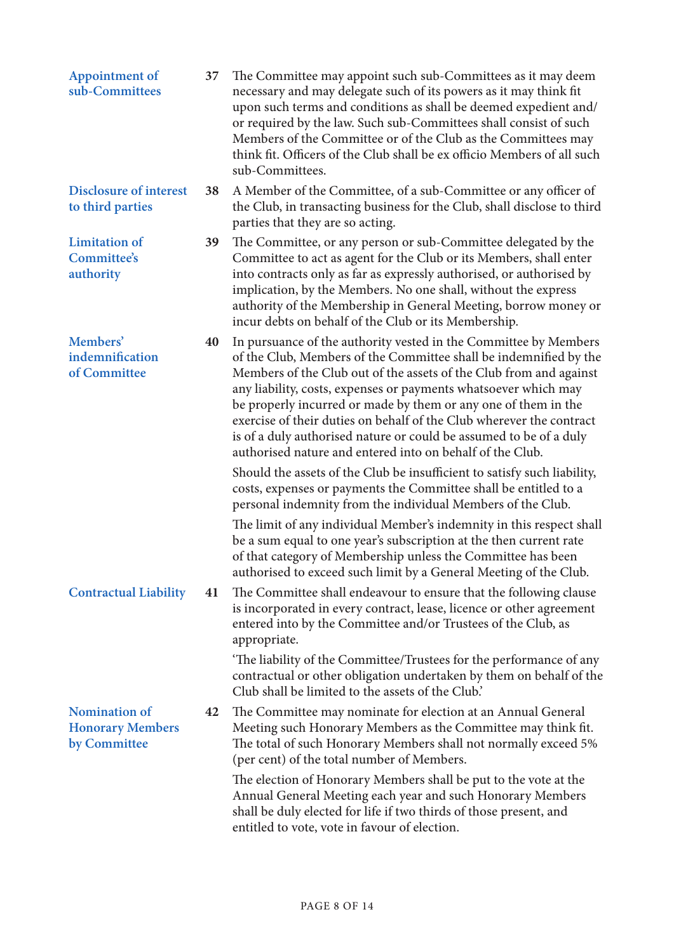| <b>Appointment of</b><br>sub-Committees                         | 37 | The Committee may appoint such sub-Committees as it may deem<br>necessary and may delegate such of its powers as it may think fit<br>upon such terms and conditions as shall be deemed expedient and/<br>or required by the law. Such sub-Committees shall consist of such<br>Members of the Committee or of the Club as the Committees may<br>think fit. Officers of the Club shall be ex officio Members of all such<br>sub-Committees.                                                                                                                   |
|-----------------------------------------------------------------|----|-------------------------------------------------------------------------------------------------------------------------------------------------------------------------------------------------------------------------------------------------------------------------------------------------------------------------------------------------------------------------------------------------------------------------------------------------------------------------------------------------------------------------------------------------------------|
| <b>Disclosure of interest</b><br>to third parties               | 38 | A Member of the Committee, of a sub-Committee or any officer of<br>the Club, in transacting business for the Club, shall disclose to third<br>parties that they are so acting.                                                                                                                                                                                                                                                                                                                                                                              |
| <b>Limitation</b> of<br>Committee's<br>authority                | 39 | The Committee, or any person or sub-Committee delegated by the<br>Committee to act as agent for the Club or its Members, shall enter<br>into contracts only as far as expressly authorised, or authorised by<br>implication, by the Members. No one shall, without the express<br>authority of the Membership in General Meeting, borrow money or<br>incur debts on behalf of the Club or its Membership.                                                                                                                                                   |
| Members'<br>indemnification<br>of Committee                     | 40 | In pursuance of the authority vested in the Committee by Members<br>of the Club, Members of the Committee shall be indemnified by the<br>Members of the Club out of the assets of the Club from and against<br>any liability, costs, expenses or payments whatsoever which may<br>be properly incurred or made by them or any one of them in the<br>exercise of their duties on behalf of the Club wherever the contract<br>is of a duly authorised nature or could be assumed to be of a duly<br>authorised nature and entered into on behalf of the Club. |
|                                                                 |    | Should the assets of the Club be insufficient to satisfy such liability,<br>costs, expenses or payments the Committee shall be entitled to a<br>personal indemnity from the individual Members of the Club.                                                                                                                                                                                                                                                                                                                                                 |
|                                                                 |    | The limit of any individual Member's indemnity in this respect shall<br>be a sum equal to one year's subscription at the then current rate<br>of that category of Membership unless the Committee has been<br>authorised to exceed such limit by a General Meeting of the Club.                                                                                                                                                                                                                                                                             |
| <b>Contractual Liability</b>                                    | 41 | The Committee shall endeavour to ensure that the following clause<br>is incorporated in every contract, lease, licence or other agreement<br>entered into by the Committee and/or Trustees of the Club, as<br>appropriate.                                                                                                                                                                                                                                                                                                                                  |
|                                                                 |    | 'The liability of the Committee/Trustees for the performance of any<br>contractual or other obligation undertaken by them on behalf of the<br>Club shall be limited to the assets of the Club.                                                                                                                                                                                                                                                                                                                                                              |
| <b>Nomination of</b><br><b>Honorary Members</b><br>by Committee | 42 | The Committee may nominate for election at an Annual General<br>Meeting such Honorary Members as the Committee may think fit.<br>The total of such Honorary Members shall not normally exceed 5%<br>(per cent) of the total number of Members.                                                                                                                                                                                                                                                                                                              |
|                                                                 |    | The election of Honorary Members shall be put to the vote at the<br>Annual General Meeting each year and such Honorary Members<br>shall be duly elected for life if two thirds of those present, and<br>entitled to vote, vote in favour of election.                                                                                                                                                                                                                                                                                                       |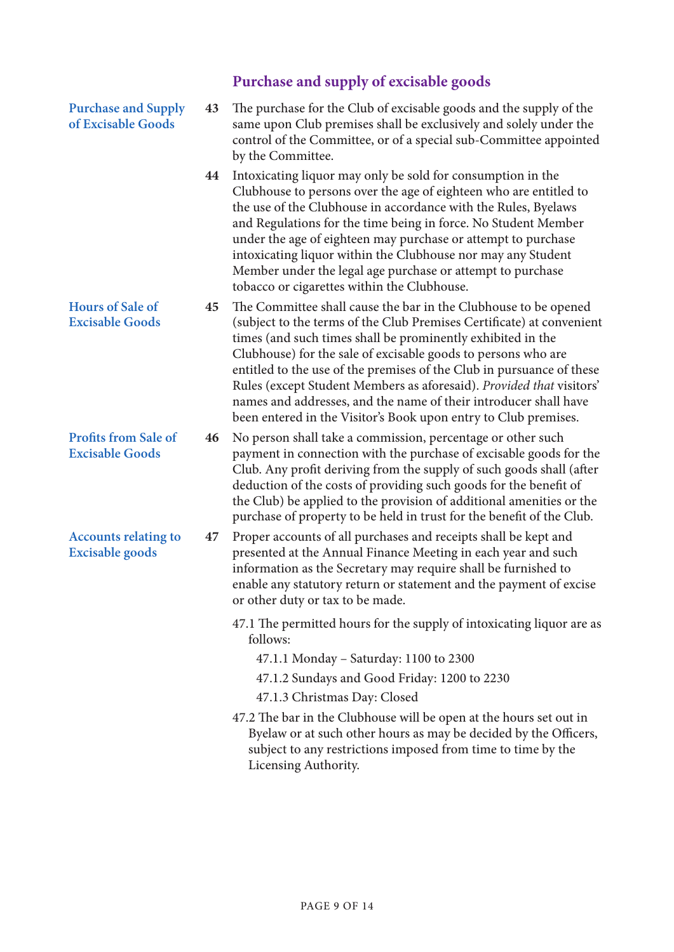|                                                       |    | Purchase and supply of excisable goods                                                                                                                                                                                                                                                                                                                                                                                                                                                                                                                           |
|-------------------------------------------------------|----|------------------------------------------------------------------------------------------------------------------------------------------------------------------------------------------------------------------------------------------------------------------------------------------------------------------------------------------------------------------------------------------------------------------------------------------------------------------------------------------------------------------------------------------------------------------|
| <b>Purchase and Supply</b><br>of Excisable Goods      | 43 | The purchase for the Club of excisable goods and the supply of the<br>same upon Club premises shall be exclusively and solely under the<br>control of the Committee, or of a special sub-Committee appointed<br>by the Committee.                                                                                                                                                                                                                                                                                                                                |
|                                                       | 44 | Intoxicating liquor may only be sold for consumption in the<br>Clubhouse to persons over the age of eighteen who are entitled to<br>the use of the Clubhouse in accordance with the Rules, Byelaws<br>and Regulations for the time being in force. No Student Member<br>under the age of eighteen may purchase or attempt to purchase<br>intoxicating liquor within the Clubhouse nor may any Student<br>Member under the legal age purchase or attempt to purchase<br>tobacco or cigarettes within the Clubhouse.                                               |
| <b>Hours of Sale of</b><br><b>Excisable Goods</b>     | 45 | The Committee shall cause the bar in the Clubhouse to be opened<br>(subject to the terms of the Club Premises Certificate) at convenient<br>times (and such times shall be prominently exhibited in the<br>Clubhouse) for the sale of excisable goods to persons who are<br>entitled to the use of the premises of the Club in pursuance of these<br>Rules (except Student Members as aforesaid). Provided that visitors'<br>names and addresses, and the name of their introducer shall have<br>been entered in the Visitor's Book upon entry to Club premises. |
| <b>Profits from Sale of</b><br><b>Excisable Goods</b> | 46 | No person shall take a commission, percentage or other such<br>payment in connection with the purchase of excisable goods for the<br>Club. Any profit deriving from the supply of such goods shall (after<br>deduction of the costs of providing such goods for the benefit of<br>the Club) be applied to the provision of additional amenities or the<br>purchase of property to be held in trust for the benefit of the Club.                                                                                                                                  |
| <b>Accounts relating to</b><br><b>Excisable goods</b> | 47 | Proper accounts of all purchases and receipts shall be kept and<br>presented at the Annual Finance Meeting in each year and such<br>information as the Secretary may require shall be furnished to<br>enable any statutory return or statement and the payment of excise<br>or other duty or tax to be made.                                                                                                                                                                                                                                                     |
|                                                       |    | 47.1 The permitted hours for the supply of intoxicating liquor are as<br>follows:                                                                                                                                                                                                                                                                                                                                                                                                                                                                                |
|                                                       |    | 47.1.1 Monday - Saturday: 1100 to 2300                                                                                                                                                                                                                                                                                                                                                                                                                                                                                                                           |
|                                                       |    | 47.1.2 Sundays and Good Friday: 1200 to 2230                                                                                                                                                                                                                                                                                                                                                                                                                                                                                                                     |
|                                                       |    | 47.1.3 Christmas Day: Closed                                                                                                                                                                                                                                                                                                                                                                                                                                                                                                                                     |
|                                                       |    | 47.2 The bar in the Clubhouse will be open at the hours set out in<br>Byelaw or at such other hours as may be decided by the Officers,<br>subject to any restrictions imposed from time to time by the<br>Licensing Authority.                                                                                                                                                                                                                                                                                                                                   |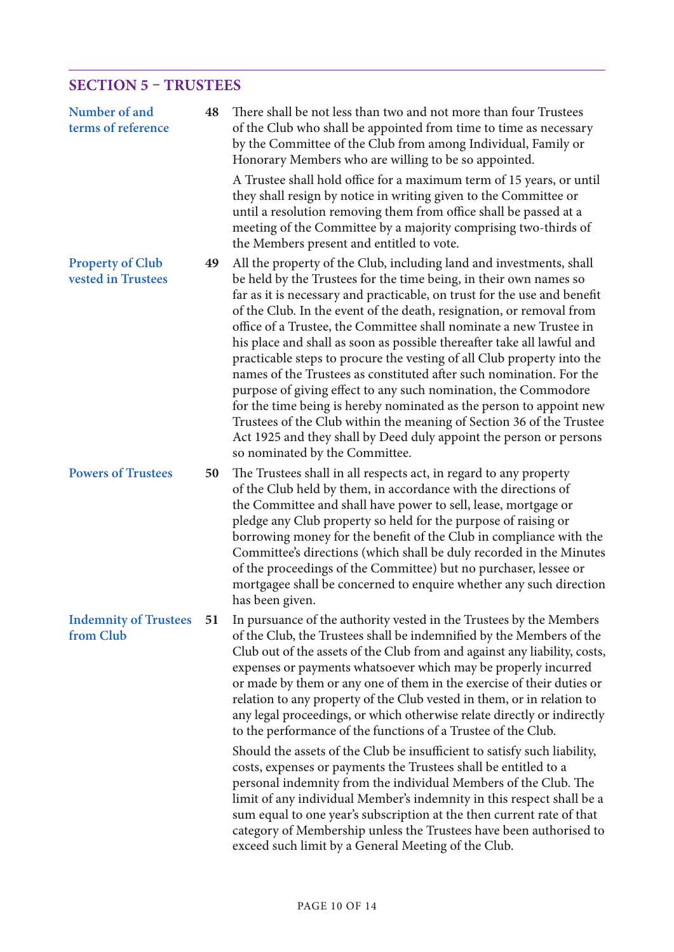# **SECTION 5 – TRUSTEES**

| Number of and<br>terms of reference           | 48 | There shall be not less than two and not more than four Trustees<br>of the Club who shall be appointed from time to time as necessary<br>by the Committee of the Club from among Individual, Family or<br>Honorary Members who are willing to be so appointed.                                                                                                                                                                                                                                                                                                                                                                                                                                                                                                                                                                                                                                                         |
|-----------------------------------------------|----|------------------------------------------------------------------------------------------------------------------------------------------------------------------------------------------------------------------------------------------------------------------------------------------------------------------------------------------------------------------------------------------------------------------------------------------------------------------------------------------------------------------------------------------------------------------------------------------------------------------------------------------------------------------------------------------------------------------------------------------------------------------------------------------------------------------------------------------------------------------------------------------------------------------------|
|                                               |    | A Trustee shall hold office for a maximum term of 15 years, or until<br>they shall resign by notice in writing given to the Committee or<br>until a resolution removing them from office shall be passed at a<br>meeting of the Committee by a majority comprising two-thirds of<br>the Members present and entitled to vote.                                                                                                                                                                                                                                                                                                                                                                                                                                                                                                                                                                                          |
| <b>Property of Club</b><br>vested in Trustees | 49 | All the property of the Club, including land and investments, shall<br>be held by the Trustees for the time being, in their own names so<br>far as it is necessary and practicable, on trust for the use and benefit<br>of the Club. In the event of the death, resignation, or removal from<br>office of a Trustee, the Committee shall nominate a new Trustee in<br>his place and shall as soon as possible thereafter take all lawful and<br>practicable steps to procure the vesting of all Club property into the<br>names of the Trustees as constituted after such nomination. For the<br>purpose of giving effect to any such nomination, the Commodore<br>for the time being is hereby nominated as the person to appoint new<br>Trustees of the Club within the meaning of Section 36 of the Trustee<br>Act 1925 and they shall by Deed duly appoint the person or persons<br>so nominated by the Committee. |
| <b>Powers of Trustees</b>                     | 50 | The Trustees shall in all respects act, in regard to any property<br>of the Club held by them, in accordance with the directions of<br>the Committee and shall have power to sell, lease, mortgage or<br>pledge any Club property so held for the purpose of raising or<br>borrowing money for the benefit of the Club in compliance with the<br>Committee's directions (which shall be duly recorded in the Minutes<br>of the proceedings of the Committee) but no purchaser, lessee or<br>mortgagee shall be concerned to enquire whether any such direction<br>has been given.                                                                                                                                                                                                                                                                                                                                      |
| <b>Indemnity of Trustees</b><br>from Club     | 51 | In pursuance of the authority vested in the Trustees by the Members<br>of the Club, the Trustees shall be indemnified by the Members of the<br>Club out of the assets of the Club from and against any liability, costs,<br>expenses or payments whatsoever which may be properly incurred<br>or made by them or any one of them in the exercise of their duties or<br>relation to any property of the Club vested in them, or in relation to<br>any legal proceedings, or which otherwise relate directly or indirectly<br>to the performance of the functions of a Trustee of the Club.                                                                                                                                                                                                                                                                                                                              |
|                                               |    | Should the assets of the Club be insufficient to satisfy such liability,<br>costs, expenses or payments the Trustees shall be entitled to a<br>personal indemnity from the individual Members of the Club. The<br>limit of any individual Member's indemnity in this respect shall be a<br>sum equal to one year's subscription at the then current rate of that<br>category of Membership unless the Trustees have been authorised to<br>exceed such limit by a General Meeting of the Club.                                                                                                                                                                                                                                                                                                                                                                                                                          |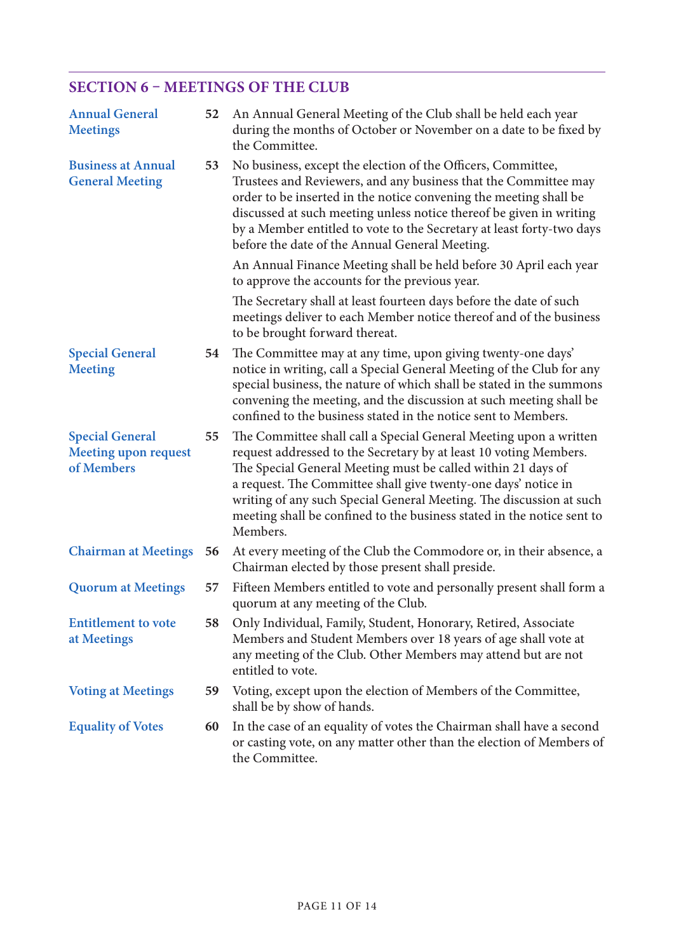## **SECTION 6 – MEETINGS OF THE CLUB**

| <b>Annual General</b><br><b>Meetings</b>                            | 52 | An Annual General Meeting of the Club shall be held each year<br>during the months of October or November on a date to be fixed by<br>the Committee.                                                                                                                                                                                                                                                                                  |
|---------------------------------------------------------------------|----|---------------------------------------------------------------------------------------------------------------------------------------------------------------------------------------------------------------------------------------------------------------------------------------------------------------------------------------------------------------------------------------------------------------------------------------|
| <b>Business at Annual</b><br><b>General Meeting</b>                 | 53 | No business, except the election of the Officers, Committee,<br>Trustees and Reviewers, and any business that the Committee may<br>order to be inserted in the notice convening the meeting shall be<br>discussed at such meeting unless notice thereof be given in writing<br>by a Member entitled to vote to the Secretary at least forty-two days<br>before the date of the Annual General Meeting.                                |
|                                                                     |    | An Annual Finance Meeting shall be held before 30 April each year<br>to approve the accounts for the previous year.                                                                                                                                                                                                                                                                                                                   |
|                                                                     |    | The Secretary shall at least fourteen days before the date of such<br>meetings deliver to each Member notice thereof and of the business<br>to be brought forward thereat.                                                                                                                                                                                                                                                            |
| <b>Special General</b><br><b>Meeting</b>                            | 54 | The Committee may at any time, upon giving twenty-one days'<br>notice in writing, call a Special General Meeting of the Club for any<br>special business, the nature of which shall be stated in the summons<br>convening the meeting, and the discussion at such meeting shall be<br>confined to the business stated in the notice sent to Members.                                                                                  |
| <b>Special General</b><br><b>Meeting upon request</b><br>of Members | 55 | The Committee shall call a Special General Meeting upon a written<br>request addressed to the Secretary by at least 10 voting Members.<br>The Special General Meeting must be called within 21 days of<br>a request. The Committee shall give twenty-one days' notice in<br>writing of any such Special General Meeting. The discussion at such<br>meeting shall be confined to the business stated in the notice sent to<br>Members. |
| <b>Chairman at Meetings</b>                                         | 56 | At every meeting of the Club the Commodore or, in their absence, a<br>Chairman elected by those present shall preside.                                                                                                                                                                                                                                                                                                                |
| <b>Quorum at Meetings</b>                                           | 57 | Fifteen Members entitled to vote and personally present shall form a<br>quorum at any meeting of the Club.                                                                                                                                                                                                                                                                                                                            |
| <b>Entitlement to vote</b><br>at Meetings                           | 58 | Only Individual, Family, Student, Honorary, Retired, Associate<br>Members and Student Members over 18 years of age shall vote at<br>any meeting of the Club. Other Members may attend but are not<br>entitled to vote.                                                                                                                                                                                                                |
| <b>Voting at Meetings</b>                                           | 59 | Voting, except upon the election of Members of the Committee,<br>shall be by show of hands.                                                                                                                                                                                                                                                                                                                                           |
| <b>Equality of Votes</b>                                            | 60 | In the case of an equality of votes the Chairman shall have a second<br>or casting vote, on any matter other than the election of Members of<br>the Committee.                                                                                                                                                                                                                                                                        |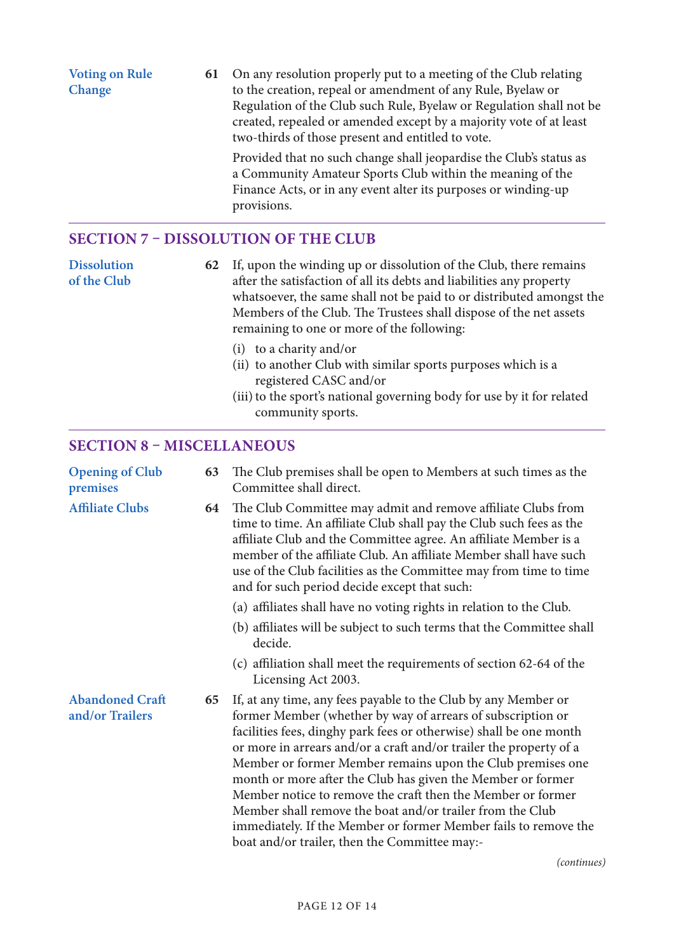**Voting on Rule Change 61** On any resolution properly put to a meeting of the Club relating to the creation, repeal or amendment of any Rule, Byelaw or Regulation of the Club such Rule, Byelaw or Regulation shall not be created, repealed or amended except by a majority vote of at least two-thirds of those present and entitled to vote. Provided that no such change shall jeopardise the Club's status as a Community Amateur Sports Club within the meaning of the

Finance Acts, or in any event alter its purposes or winding-up provisions.

## **SECTION 7 – DISSOLUTION OF THE CLUB**

**Dissolution of the Club 62** If, upon the winding up or dissolution of the Club, there remains after the satisfaction of all its debts and liabilities any property whatsoever, the same shall not be paid to or distributed amongst the Members of the Club. The Trustees shall dispose of the net assets remaining to one or more of the following:

- (i) to a charity and/or
- (ii) to another Club with similar sports purposes which is a registered CASC and/or
- (iii) to the sport's national governing body for use by it for related community sports.

### **SECTION 8 – MISCELLANEOUS**

| <b>Opening of Club</b><br>premises        | 63 | The Club premises shall be open to Members at such times as the<br>Committee shall direct.                                                                                                                                                                                                                                                                                                                                                                                                                                                                                                                                                             |
|-------------------------------------------|----|--------------------------------------------------------------------------------------------------------------------------------------------------------------------------------------------------------------------------------------------------------------------------------------------------------------------------------------------------------------------------------------------------------------------------------------------------------------------------------------------------------------------------------------------------------------------------------------------------------------------------------------------------------|
| <b>Affiliate Clubs</b>                    | 64 | The Club Committee may admit and remove affiliate Clubs from<br>time to time. An affiliate Club shall pay the Club such fees as the<br>affiliate Club and the Committee agree. An affiliate Member is a<br>member of the affiliate Club. An affiliate Member shall have such<br>use of the Club facilities as the Committee may from time to time<br>and for such period decide except that such:                                                                                                                                                                                                                                                      |
|                                           |    | (a) affiliates shall have no voting rights in relation to the Club.                                                                                                                                                                                                                                                                                                                                                                                                                                                                                                                                                                                    |
|                                           |    | (b) affiliates will be subject to such terms that the Committee shall<br>decide.                                                                                                                                                                                                                                                                                                                                                                                                                                                                                                                                                                       |
|                                           |    | (c) affiliation shall meet the requirements of section 62-64 of the<br>Licensing Act 2003.                                                                                                                                                                                                                                                                                                                                                                                                                                                                                                                                                             |
| <b>Abandoned Craft</b><br>and/or Trailers | 65 | If, at any time, any fees payable to the Club by any Member or<br>former Member (whether by way of arrears of subscription or<br>facilities fees, dinghy park fees or otherwise) shall be one month<br>or more in arrears and/or a craft and/or trailer the property of a<br>Member or former Member remains upon the Club premises one<br>month or more after the Club has given the Member or former<br>Member notice to remove the craft then the Member or former<br>Member shall remove the boat and/or trailer from the Club<br>immediately. If the Member or former Member fails to remove the<br>boat and/or trailer, then the Committee may:- |

*(continues)*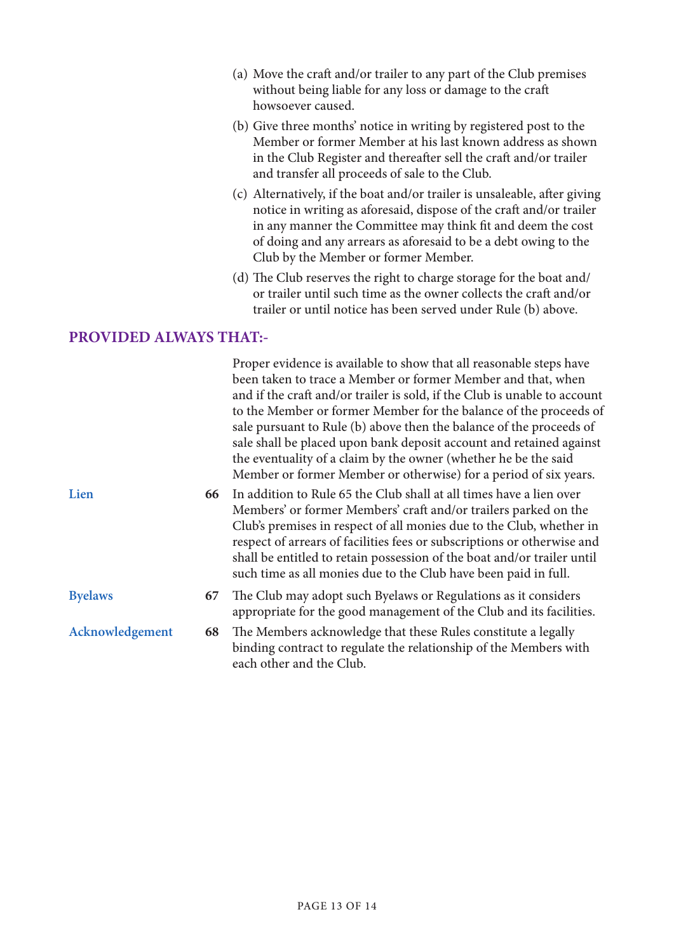- (a) Move the craft and/or trailer to any part of the Club premises without being liable for any loss or damage to the craft howsoever caused.
- (b) Give three months' notice in writing by registered post to the Member or former Member at his last known address as shown in the Club Register and thereafter sell the craft and/or trailer and transfer all proceeds of sale to the Club.
- (c) Alternatively, if the boat and/or trailer is unsaleable, after giving notice in writing as aforesaid, dispose of the craft and/or trailer in any manner the Committee may think fit and deem the cost of doing and any arrears as aforesaid to be a debt owing to the Club by the Member or former Member.
- (d) The Club reserves the right to charge storage for the boat and/ or trailer until such time as the owner collects the craft and/or trailer or until notice has been served under Rule (b) above.

### **PROVIDED ALWAYS THAT:-**

|                 |    | Proper evidence is available to show that all reasonable steps have<br>been taken to trace a Member or former Member and that, when<br>and if the craft and/or trailer is sold, if the Club is unable to account<br>to the Member or former Member for the balance of the proceeds of<br>sale pursuant to Rule (b) above then the balance of the proceeds of<br>sale shall be placed upon bank deposit account and retained against<br>the eventuality of a claim by the owner (whether he be the said<br>Member or former Member or otherwise) for a period of six years. |
|-----------------|----|----------------------------------------------------------------------------------------------------------------------------------------------------------------------------------------------------------------------------------------------------------------------------------------------------------------------------------------------------------------------------------------------------------------------------------------------------------------------------------------------------------------------------------------------------------------------------|
| Lien            | 66 | In addition to Rule 65 the Club shall at all times have a lien over<br>Members' or former Members' craft and/or trailers parked on the<br>Club's premises in respect of all monies due to the Club, whether in<br>respect of arrears of facilities fees or subscriptions or otherwise and<br>shall be entitled to retain possession of the boat and/or trailer until<br>such time as all monies due to the Club have been paid in full.                                                                                                                                    |
| <b>Byelaws</b>  | 67 | The Club may adopt such Byelaws or Regulations as it considers<br>appropriate for the good management of the Club and its facilities.                                                                                                                                                                                                                                                                                                                                                                                                                                      |
| Acknowledgement | 68 | The Members acknowledge that these Rules constitute a legally<br>binding contract to regulate the relationship of the Members with<br>each other and the Club.                                                                                                                                                                                                                                                                                                                                                                                                             |